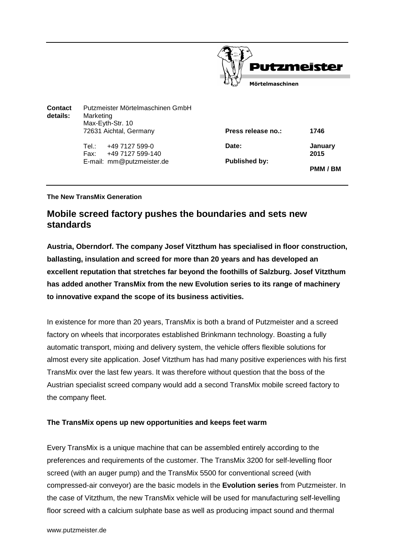

| Contact<br>details: | Putzmeister Mörtelmaschinen GmbH<br>Marketing<br>Max-Eyth-Str. 10 |                      |                 |
|---------------------|-------------------------------------------------------------------|----------------------|-----------------|
|                     | 72631 Aichtal, Germany                                            | Press release no.:   | 1746            |
|                     | +49 7127 599-0<br>Tel∴<br>+49 7127 599-140<br>Fax:                | Date:                | January<br>2015 |
|                     | E-mail: mm@putzmeister.de                                         | <b>Published by:</b> | PMM / BM        |

#### **The New TransMix Generation**

# **Mobile screed factory pushes the boundaries and sets new standards**

**Austria, Oberndorf. The company Josef Vitzthum has specialised in floor construction, ballasting, insulation and screed for more than 20 years and has developed an excellent reputation that stretches far beyond the foothills of Salzburg. Josef Vitzthum has added another TransMix from the new Evolution series to its range of machinery to innovative expand the scope of its business activities.** 

In existence for more than 20 years, TransMix is both a brand of Putzmeister and a screed factory on wheels that incorporates established Brinkmann technology. Boasting a fully automatic transport, mixing and delivery system, the vehicle offers flexible solutions for almost every site application. Josef Vitzthum has had many positive experiences with his first TransMix over the last few years. It was therefore without question that the boss of the Austrian specialist screed company would add a second TransMix mobile screed factory to the company fleet.

## **The TransMix opens up new opportunities and keeps feet warm**

Every TransMix is a unique machine that can be assembled entirely according to the preferences and requirements of the customer. The TransMix 3200 for self-levelling floor screed (with an auger pump) and the TransMix 5500 for conventional screed (with compressed-air conveyor) are the basic models in the **Evolution series** from Putzmeister. In the case of Vitzthum, the new TransMix vehicle will be used for manufacturing self-levelling floor screed with a calcium sulphate base as well as producing impact sound and thermal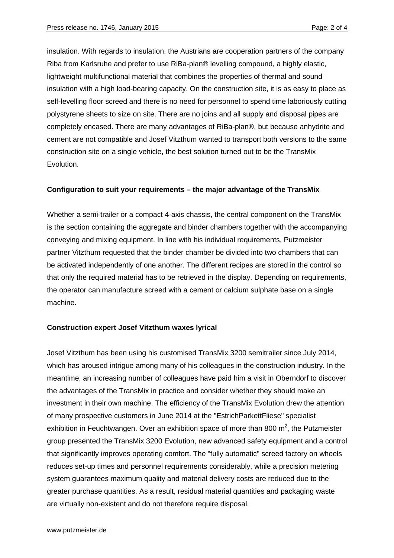insulation. With regards to insulation, the Austrians are cooperation partners of the company Riba from Karlsruhe and prefer to use RiBa-plan® levelling compound, a highly elastic, lightweight multifunctional material that combines the properties of thermal and sound insulation with a high load-bearing capacity. On the construction site, it is as easy to place as self-levelling floor screed and there is no need for personnel to spend time laboriously cutting polystyrene sheets to size on site. There are no joins and all supply and disposal pipes are completely encased. There are many advantages of RiBa-plan®, but because anhydrite and cement are not compatible and Josef Vitzthum wanted to transport both versions to the same construction site on a single vehicle, the best solution turned out to be the TransMix Evolution.

### **Configuration to suit your requirements – the major advantage of the TransMix**

Whether a semi-trailer or a compact 4-axis chassis, the central component on the TransMix is the section containing the aggregate and binder chambers together with the accompanying conveying and mixing equipment. In line with his individual requirements, Putzmeister partner Vitzthum requested that the binder chamber be divided into two chambers that can be activated independently of one another. The different recipes are stored in the control so that only the required material has to be retrieved in the display. Depending on requirements, the operator can manufacture screed with a cement or calcium sulphate base on a single machine.

## **Construction expert Josef Vitzthum waxes lyrical**

Josef Vitzthum has been using his customised TransMix 3200 semitrailer since July 2014, which has aroused intrigue among many of his colleagues in the construction industry. In the meantime, an increasing number of colleagues have paid him a visit in Oberndorf to discover the advantages of the TransMix in practice and consider whether they should make an investment in their own machine. The efficiency of the TransMix Evolution drew the attention of many prospective customers in June 2014 at the "EstrichParkettFliese" specialist exhibition in Feuchtwangen. Over an exhibition space of more than 800  $m^2$ , the Putzmeister group presented the TransMix 3200 Evolution, new advanced safety equipment and a control that significantly improves operating comfort. The "fully automatic" screed factory on wheels reduces set-up times and personnel requirements considerably, while a precision metering system guarantees maximum quality and material delivery costs are reduced due to the greater purchase quantities. As a result, residual material quantities and packaging waste are virtually non-existent and do not therefore require disposal.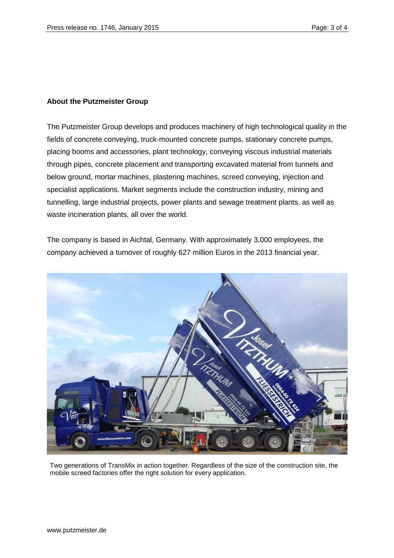## **About the Putzmeister Group**

The Putzmeister Group develops and produces machinery of high technological quality in the fields of concrete conveying, truck-mounted concrete pumps, stationary concrete pumps, placing booms and accessories, plant technology, conveying viscous industrial materials through pipes, concrete placement and transporting excavated material from tunnels and below ground, mortar machines, plastering machines, screed conveying, injection and specialist applications. Market segments include the construction industry, mining and tunnelling, large industrial projects, power plants and sewage treatment plants, as well as waste incineration plants, all over the world.

The company is based in Aichtal, Germany. With approximately 3,000 employees, the company achieved a turnover of roughly 627 million Euros in the 2013 financial year.



Two generations of TransMix in action together. Regardless of the size of the construction site, the mobile screed factories offer the right solution for every application.